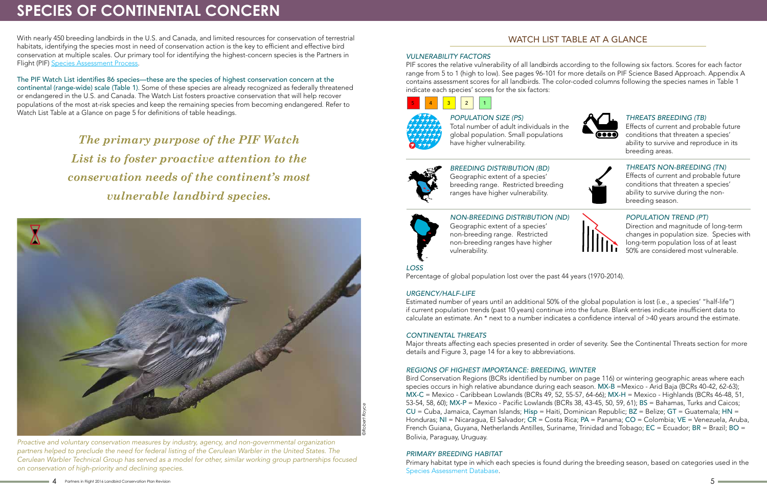With nearly 450 breeding landbirds in the U.S. and Canada, and limited resources for conservation of terrestrial habitats, identifying the species most in need of conservation action is the key to efficient and effective bird conservation at multiple scales. Our primary tool for identifying the highest-concern species is the Partners in Flight (PIF) Species Assessment Process.

The PIF Watch List identifies 86 species—these are the species of highest conservation concern at the continental (range-wide) scale (Table 1). Some of these species are already recognized as federally threatened or endangered in the U.S. and Canada. The Watch List fosters proactive conservation that will help recover populations of the most at-risk species and keep the remaining species from becoming endangered. Refer to Watch List Table at a Glance on page 5 for definitions of table headings.

# **SPECIES OF CONTINENTAL CONCERN**

*The primary purpose of the PIF Watch List is to foster proactive attention to the conservation needs of the continent's most vulnerable landbird species.*

## WATCH LIST TABLE AT A GLANCE



#### *VULNERABILITY FACTORS*

PIF scores the relative vulnerability of all landbirds according to the following six factors. Scores for each factor range from 5 to 1 (high to low). See pages 96-101 for more details on PIF Science Based Approach. Appendix A contains assessment scores for all landbirds. The color-coded columns following the species names in Table 1 indicate each species' scores for the six factors:

### *NON-BREEDING DISTRIBUTION (ND)*

Geographic extent of a species' non-breeding range. Restricted non-breeding ranges have higher vulnerability.

#### *POPULATION TREND (PT)* Direction and magnitude of long-term

changes in population size. Species with long-term population loss of at least 50% are considered most vulnerable.



*LOSS*

Percentage of global population lost over the past 44 years (1970-2014).

#### *URGENCY/HALF-LIFE*

Estimated number of years until an additional 50% of the global population is lost (i.e., a species' "half-life") if current population trends (past 10 years) continue into the future. Blank entries indicate insufficient data to calculate an estimate. An \* next to a number indicates a confidence interval of >40 years around the estimate.

#### *CONTINENTAL THREATS*

Major threats affecting each species presented in order of severity. See the Continental Threats section for more details and Figure 3, page 14 for a key to abbreviations.

### *REGIONS OF HIGHEST IMPORTANCE: BREEDING, WINTER*

Bird Conservation Regions (BCRs identified by number on page 116) or wintering geographic areas where each species occurs in high relative abundance during each season. MX-B =Mexico - Arid Baja (BCRs 40-42, 62-63); MX-C = Mexico - Caribbean Lowlands (BCRs 49, 52, 55-57, 64-66); MX-H = Mexico - Highlands (BCRs 46-48, 51, 53-54, 58, 60); MX-P = Mexico - Pacific Lowlands (BCRs 38, 43-45, 50, 59, 61); BS = Bahamas, Turks and Caicos; CU = Cuba, Jamaica, Cayman Islands; Hisp = Haiti, Dominican Republic; BZ = Belize; GT = Guatemala; HN = Honduras; NI = Nicaragua, El Salvador; CR = Costa Rica; PA = Panama; CO = Colombia; VE = Venezuela, Aruba, French Guiana, Guyana, Netherlands Antilles, Suriname, Trinidad and Tobago; EC = Ecuador; BR = Brazil; BO = Bolivia, Paraguay, Uruguay.

#### *PRIMARY BREEDING HABITAT*

Primary habitat type in which each species is found during the breeding season, based on categories used in the Species Assessment Database.

#### *BREEDING DISTRIBUTION (BD)* Geographic extent of a species'

breeding range. Restricted breeding ranges have higher vulnerability.



#### *THREATS NON-BREEDING (TN)* Effects of current and probable future conditions that threaten a species' ability to survive during the non-

breeding season.



Total number of adult individuals in the global population. Small populations have higher vulnerability.



### *THREATS BREEDING (TB)*



*Proactive and voluntary conservation measures by industry, agency, and non-governmental organization partners helped to preclude the need for federal listing of the Cerulean Warbler in the United States. The Cerulean Warbler Technical Group has served as a model for other, similar working group partnerships focused on conservation of high-priority and declining species.*

Effects of current and probable future conditions that threaten a species' ability to survive and reproduce in its breeding areas.

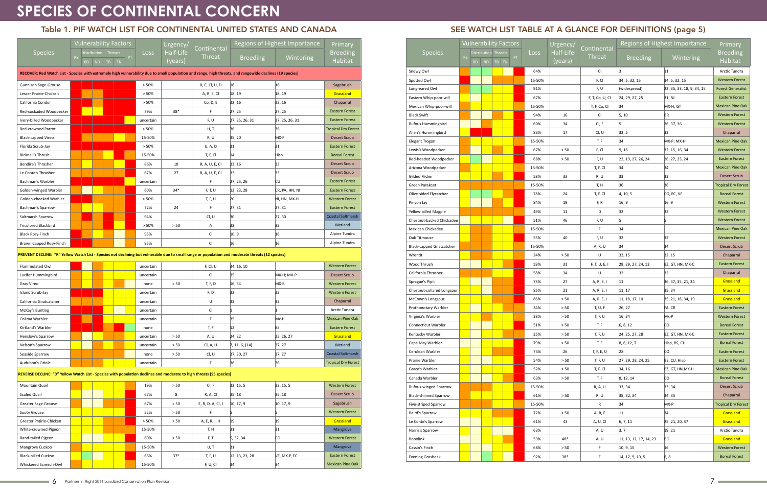# **SPECIES OF CONTINENTAL CONCERN**

### Table 1. PIF WATCH LIST FOR CONTINENTAL UNITED STATES AND CANADA

|                                                                                                                                                          | <b>Vulnerability Factors</b> |           |    |                      |           |      |           | Urgency/    |                   | Regions of Highest Importance |                 | Primary                    |
|----------------------------------------------------------------------------------------------------------------------------------------------------------|------------------------------|-----------|----|----------------------|-----------|------|-----------|-------------|-------------------|-------------------------------|-----------------|----------------------------|
| <b>Species</b>                                                                                                                                           |                              |           |    | Distribution Threats |           | Loss | Half-Life | Continental |                   |                               | <b>Breeding</b> |                            |
|                                                                                                                                                          | <b>PS</b>                    | <b>BD</b> | ND | TB                   | <b>TN</b> | PT   |           | (years)     | <b>Threat</b>     | <b>Breeding</b>               | Wintering       | Habitat                    |
| RECOVER: Red Watch List - Species with extremely high vulnerability due to small population and range, high threats, and rangewide declines (19 species) |                              |           |    |                      |           |      |           |             |                   |                               |                 |                            |
|                                                                                                                                                          |                              |           |    |                      |           |      | > 50%     |             | R, E, Cl, U, D    | 16                            | 16              | Sagebrush                  |
| <b>Gunnison Sage-Grouse</b><br>Lesser Prairie-Chicken                                                                                                    |                              |           |    |                      |           |      | > 50%     |             | A, R, E, Cl       | 18, 19                        | 18, 19          | Grassland                  |
| California Condor                                                                                                                                        |                              |           |    |                      |           |      | > 50%     |             | Co, D, E          | 32, 16                        | 32, 16          | Chaparral                  |
| Red-cockaded Woodpecker                                                                                                                                  |                              |           |    |                      |           |      | 79%       | $38*$       | F                 | 27, 25                        | 27, 25          | <b>Eastern Forest</b>      |
| Ivory-billed Woodpecker                                                                                                                                  |                              |           |    |                      |           |      | uncertain |             | F, U              | 27, 25, 26, 31                | 27, 25, 26, 31  | <b>Eastern Forest</b>      |
| Red-crowned Parrot                                                                                                                                       |                              |           |    |                      |           |      | > 50%     |             | H, T              | 36                            | 36              | <b>Tropical Dry Forest</b> |
| <b>Black-capped Vireo</b>                                                                                                                                |                              |           |    |                      |           |      | 15-50%    |             | R, U              | 35, 20                        | MX-P            | <b>Desert Scrub</b>        |
| Florida Scrub-Jay                                                                                                                                        |                              |           |    |                      |           |      | > 50%     |             | U, A, D           | 31                            | 31              | <b>Eastern Forest</b>      |
| <b>Bicknell's Thrush</b>                                                                                                                                 |                              |           |    |                      |           |      | 15-50%    |             | T, F, Cl          | 14                            | Hisp            | <b>Boreal Forest</b>       |
| Bendire's Thrasher                                                                                                                                       |                              |           |    |                      |           |      | 86%       | 18          | R, A, U, E, Cl    | 33, 16                        | 33              | <b>Desert Scrub</b>        |
| Le Conte's Thrasher                                                                                                                                      |                              |           |    |                      |           |      | 67%       | 27          | R, A, U, E, Cl    | 33                            | 33              | <b>Desert Scrub</b>        |
| Bachman's Warbler                                                                                                                                        |                              |           |    |                      |           |      | uncertain |             | F                 | 27, 25, 26                    | Cυ              | <b>Eastern Forest</b>      |
| Golden-winged Warbler                                                                                                                                    |                              |           |    |                      |           |      | 60%       | $34*$       | F, T, U           | 12, 23, 28                    | CR, PA, HN, NI  | <b>Eastern Forest</b>      |
| Golden-cheeked Warbler                                                                                                                                   |                              |           |    |                      |           |      | > 50%     |             | T, F, U           | 20                            | NI, HN, MX-H    | <b>Western Forest</b>      |
| Bachman's Sparrow                                                                                                                                        |                              |           |    |                      |           |      | 72%       | 24          | F                 | 27, 31                        | 27, 31          | <b>Eastern Forest</b>      |
| Saltmarsh Sparrow                                                                                                                                        |                              |           |    |                      |           |      | 94%       |             | Cl, U             | 30                            | 27, 30          | Coastal Saltmarsh          |
| <b>Tricolored Blackbird</b>                                                                                                                              |                              |           |    |                      |           |      | > 50%     | > 50        | Α                 | 32                            | 32              | Wetland                    |
| <b>Black Rosy-Finch</b>                                                                                                                                  |                              |           |    |                      |           |      | 95%       |             | CI                | 10, 9                         | 16              | Alpine Tundra              |
| Brown-capped Rosy-Finch                                                                                                                                  |                              |           |    |                      |           |      | 95%       |             | CI                | 16                            | 16              | Alpine Tundra              |
|                                                                                                                                                          |                              |           |    |                      |           |      |           |             |                   |                               |                 |                            |
| PREVENT DECLINE: "R" Yellow Watch List - Species not declining but vulnerable due to small range or population and moderate threats (12 species)         |                              |           |    |                      |           |      |           |             |                   |                               |                 |                            |
| Flammulated Owl                                                                                                                                          |                              |           |    |                      |           |      | uncertain |             | F, Cl, U          | 34, 16, 10                    |                 | <b>Western Forest</b>      |
| Lucifer Hummingbird                                                                                                                                      |                              |           |    |                      |           |      | uncertain |             | CI                | 35                            | MX-H; MX-P      | Desert Scrub               |
| Gray Vireo                                                                                                                                               |                              |           |    |                      |           |      | none      | > 50        | T, F, D           | 16, 34                        | $MX-B$          | <b>Western Forest</b>      |
| Island Scrub-Jay                                                                                                                                         |                              |           |    |                      |           |      | uncertain |             | F, D              | 32                            | 32              | <b>Western Forest</b>      |
| California Gnatcatcher                                                                                                                                   |                              |           |    |                      |           |      | uncertain |             | U                 | 32                            | 32              | Chaparral                  |
| McKay's Bunting                                                                                                                                          |                              |           |    |                      |           |      | uncertain |             | Cl                | 11                            | 1               | Arctic Tundra              |
| Colima Warbler                                                                                                                                           |                              |           |    |                      |           |      | uncertain |             | F                 | 35                            | Mx-H            | <b>Mexican Pine Oak</b>    |
| Kirtland's Warbler                                                                                                                                       |                              |           |    |                      |           |      | none      |             | T, F              | 12                            | BS              | <b>Eastern Forest</b>      |
| Henslow's Sparrow                                                                                                                                        |                              |           |    |                      |           |      | uncertain | > 50        | A, U              | 24, 22                        | 25, 26, 27      | Grassland                  |
| Nelson's Sparrow                                                                                                                                         |                              |           |    |                      |           |      | uncertain | > 50        | Cl, A, U          | 7, 11, 6, (14)                | 37, 27          | Wetland                    |
| Seaside Sparrow                                                                                                                                          |                              |           |    |                      |           |      | none      | > 50        | Cl, U             | 37, 30, 27                    | 37, 27          | <b>Coastal Saltmarsh</b>   |
| Audubon's Oriole                                                                                                                                         |                              |           |    |                      |           |      | uncertain |             | F.                | 36                            | 36              | <b>Tropical Dry Forest</b> |
| REVERSE DECLINE: "D" Yellow Watch List - Species with population declines and moderate to high threats (55 species)                                      |                              |           |    |                      |           |      |           |             |                   |                               |                 |                            |
| Mountain Quail                                                                                                                                           |                              |           |    |                      |           |      | 19%       | > 50        | Cl, F             | 32, 15, 5                     | 32, 15, 5       | <b>Western Forest</b>      |
| <b>Scaled Quail</b>                                                                                                                                      |                              |           |    |                      |           |      | 67%       | 8           | R, A, Cl          | 35, 18                        | 35, 18          | <b>Desert Scrub</b>        |
| Greater Sage-Grouse                                                                                                                                      |                              |           |    |                      |           |      | 67%       | > 50        | E, R, D, A, Cl, I | 10, 17, 9                     | 10, 17, 9       | Sagebrush                  |
| Sooty Grouse                                                                                                                                             |                              |           |    |                      |           |      | 52%       | > 50        | F                 | 5                             | 5               | <b>Western Forest</b>      |
| Greater Prairie-Chicken                                                                                                                                  |                              |           |    |                      |           |      | > 50%     | > 50        | A, E, R, I, H     | 19                            | 19              | Grassland                  |
| White-crowned Pigeon                                                                                                                                     |                              |           |    |                      |           |      | 15-50%    |             | T, H              | 31                            | 31              | Mangrove                   |
| <b>Band-tailed Pigeon</b>                                                                                                                                |                              |           |    |                      |           |      | 60%       | > 50        | F, T              | 5, 32, 34                     | CO              | <b>Western Forest</b>      |
| Mangrove Cuckoo                                                                                                                                          |                              |           |    |                      |           |      | 15-50%    |             | U, T              | 31                            |                 | Mangrove                   |
| Black-billed Cuckoo                                                                                                                                      |                              |           |    |                      |           |      | 66%       | $37*$       | T, F, U           | 12, 13, 23, 28                | VE, MX-P, EC    | <b>Eastern Forest</b>      |
| Whiskered Screech-Owl                                                                                                                                    |                              |           |    |                      |           |      | 15-50%    |             | F, U, Cl          | 34                            | 34              | <b>Mexican Pine Oak</b>    |

| Half-Life<br><b>Species</b><br><b>Breeding</b><br>Distribution Threats<br><b>Loss</b><br><b>Threat</b><br><b>Breeding</b><br><b>PS</b><br>Wintering<br>PT<br>(years)<br><b>Habitat</b><br><b>ND</b><br><b>BD</b><br>TB TN<br>$\vert$ 3<br> 11 <br>Arctic Tundra<br>Snowy Owl<br>64%<br><b>CI</b><br>34, 5, 32, 15<br><b>Western Forest</b><br>Spotted Owl<br>15-50%<br>F, Cl<br>34, 5, 32, 15<br>Long-eared Owl<br>91%<br>F, U<br>22, 35, 33, 18, 9, 34, 15<br><b>Forest Generalist</b><br>(widespread)<br>Eastern Whip-poor-will<br>67%<br>F, T, Co, U, Cl<br>24, 29, 27, 25<br>31, NI<br><b>Eastern Forest</b><br><b>Mexican Pine Oak</b><br>Mexican Whip-poor-will<br>15-50%<br>T, F, Co, Cl<br>34<br>MX-H; GT<br><b>Black Swift</b><br>94%<br>16<br>CI<br>5, 10<br><b>BR</b><br><b>Western Forest</b><br><b>Western Forest</b><br>Rufous Hummingbird<br>60%<br>34<br>Cl, F<br>15<br>26, 37, 36<br>32<br>Chaparral<br>Allen's Hummingbird<br>83%<br>17<br>Cl, U<br>32, 5<br>MX-P; MX-H<br><b>Mexican Pine Oak</b><br><b>Elegant Trogon</b><br>15-50%<br>T, F<br>34<br>$> 50$<br>9, 16<br>Lewis's Woodpecker<br>67%<br>F, Cl<br><b>Western Forest</b><br>32, 15, 16, 34<br>Red-headed Woodpecker<br>68%<br>> 50<br>F, U<br>22, 19, 27, 26, 24<br>26, 27, 25, 24<br><b>Eastern Forest</b><br>T, F, Cl<br>34<br><b>Mexican Pine Oak</b><br>Arizona Woodpecker<br>15-50%<br>34<br>Gilded Flicker<br>33<br>33<br>33<br><b>Desert Scrub</b><br>58%<br>R, U<br>36<br><b>Tropical Dry Forest</b><br><b>Green Parakeet</b><br>15-50%<br>T, H<br>36<br>CO, EC, VE<br>Olive-sided Flycatcher<br>78%<br>24<br>T, F, Cl<br>4, 10, 5<br><b>Boreal Forest</b><br>19<br>16, 9<br><b>Western Forest</b><br>84%<br>F, R<br>16, 9<br>Pinyon Jay<br>Yellow-billed Magpie<br>49%<br>11<br>D<br>32<br>32<br><b>Western Forest</b><br>51%<br>46<br>5<br>Chestnut-backed Chickadee<br>F, U<br>5<br><b>Western Forest</b><br>Mexican Chickadee<br><b>Mexican Pine Oak</b><br>15-50%<br>F<br>34<br>40<br><b>Western Forest</b><br>Oak Titmouse<br>53%<br>F, U<br>32<br>32<br>34<br>34<br><b>Desert Scrub</b><br><b>Black-capped Gnatcatcher</b><br>15-50%<br>A, R, U<br>$> 50$<br>U<br>32, 15<br>32, 15<br>Wrentit<br>24%<br>Chaparral<br>Wood Thrush<br>59%<br>31<br>F, T, U, E, I<br>28, 29, 27, 24, 13<br>BZ, GT, HN, MX-C<br><b>Eastern Forest</b><br>58%<br>34<br>U<br>32<br>Chaparral<br>California Thrasher<br>32<br>27<br>Grassland<br>Sprague's Pipit<br>73%<br>A, R, E, I<br>11<br>36, 37, 35, 21, 34<br>Grassland<br>Chestnut-collared Longspur<br>85%<br>21<br>A, R, E, I<br>11, 17<br>35, 34<br>Grassland<br>McCown's Longspur<br>86%<br>> 50<br>A, R, E, I<br>35, 21, 18, 34, 19<br> 11, 18, 17, 10<br>Prothonotary Warbler<br>> 50<br>26, 27<br>PA, CR<br><b>Eastern Forest</b><br>34%<br>T, U, F<br>16, 34<br><b>Western Forest</b><br>Virginia's Warbler<br>38%<br>> 50<br>T, F, U<br>Mx-P<br>Connecticut Warbler<br>51%<br>> 50<br>T, F<br>6, 8, 12<br>CO.<br><b>Boreal Forest</b><br><b>Eastern Forest</b><br>Kentucky Warbler<br>T, F, U<br>24, 25, 27, 28<br>BZ, GT, HN, MX-C<br>25%<br>> 50<br><b>Boreal Forest</b><br>Cape May Warbler<br>T, F<br>8, 6, 12, 7<br>Hisp, BS, CU<br>79%<br>> 50<br>Cerulean Warbler<br>73%<br>26<br>T, F, E, U<br>28<br><b>CO</b><br><b>Eastern Forest</b><br>Prairie Warbler<br>> 50<br>T, F, U<br>BS, CU, Hisp<br><b>Eastern Forest</b><br>54%<br>27, 29, 28, 24, 25<br><b>Mexican Pine Oak</b><br>Grace's Warbler<br>BZ, GT, HN, MX-H<br>52%<br>> 50<br>T, F, Cl<br>34, 16<br>Canada Warbler<br>63%<br>$> 50$<br><b>CO</b><br><b>Boreal Forest</b><br>T, F<br>8, 12, 14<br><b>Desert Scrub</b><br>Rufous-winged Sparrow<br>15-50%<br>33, 34<br>33, 34<br>R, A, U<br><b>Black-chinned Sparrow</b><br>34, 35<br>Chaparral<br>61%<br>> 50<br>R, U<br>35, 32, 34<br><b>Tropical Dry Forest</b><br>Five-striped Sparrow<br>15-50%<br>34<br>MX-P<br>R<br>Grassland<br>Baird's Sparrow<br>> 50<br>11<br>34<br>72%<br>A, R, E<br>Grassland<br>Le Conte's Sparrow<br>A, U, Cl<br>25, 21, 20, 37<br>61%<br>43<br>6, 7, 11<br>Harris's Sparrow<br>63%<br>A, U<br>3,7<br>19, 21<br>Arctic Tundra<br>48*<br>Grassland<br>Bobolink<br>59%<br>A, U<br>11, 13, 12, 17, 14, 23<br>BO<br><b>Western Forest</b><br>Cassin's Finch<br>F.<br>10, 9, 15<br>16<br>68%<br>> 50<br><b>Boreal Forest</b><br>$38*$<br><b>Evening Grosbeak</b><br>92%<br>F<br>6, 8<br>14, 12, 9, 10, 5 |  |  |  |  |  | <b>Vulnerability Factors</b> | Urgency/ | Continental | Regions of Highest Importance |  | Primary |
|--------------------------------------------------------------------------------------------------------------------------------------------------------------------------------------------------------------------------------------------------------------------------------------------------------------------------------------------------------------------------------------------------------------------------------------------------------------------------------------------------------------------------------------------------------------------------------------------------------------------------------------------------------------------------------------------------------------------------------------------------------------------------------------------------------------------------------------------------------------------------------------------------------------------------------------------------------------------------------------------------------------------------------------------------------------------------------------------------------------------------------------------------------------------------------------------------------------------------------------------------------------------------------------------------------------------------------------------------------------------------------------------------------------------------------------------------------------------------------------------------------------------------------------------------------------------------------------------------------------------------------------------------------------------------------------------------------------------------------------------------------------------------------------------------------------------------------------------------------------------------------------------------------------------------------------------------------------------------------------------------------------------------------------------------------------------------------------------------------------------------------------------------------------------------------------------------------------------------------------------------------------------------------------------------------------------------------------------------------------------------------------------------------------------------------------------------------------------------------------------------------------------------------------------------------------------------------------------------------------------------------------------------------------------------------------------------------------------------------------------------------------------------------------------------------------------------------------------------------------------------------------------------------------------------------------------------------------------------------------------------------------------------------------------------------------------------------------------------------------------------------------------------------------------------------------------------------------------------------------------------------------------------------------------------------------------------------------------------------------------------------------------------------------------------------------------------------------------------------------------------------------------------------------------------------------------------------------------------------------------------------------------------------------------------------------------------------------------------------------------------------------------------------------------------------------------------------------------------------------------------------------------------------------------------------------------------------------------------------------------------------------------------------------------------------------------------------------------------------------------------------------------------------------------------------------------------------------------------------------------------------------------------------------------------------------------------------------------------------------------------------------------|--|--|--|--|--|------------------------------|----------|-------------|-------------------------------|--|---------|
|                                                                                                                                                                                                                                                                                                                                                                                                                                                                                                                                                                                                                                                                                                                                                                                                                                                                                                                                                                                                                                                                                                                                                                                                                                                                                                                                                                                                                                                                                                                                                                                                                                                                                                                                                                                                                                                                                                                                                                                                                                                                                                                                                                                                                                                                                                                                                                                                                                                                                                                                                                                                                                                                                                                                                                                                                                                                                                                                                                                                                                                                                                                                                                                                                                                                                                                                                                                                                                                                                                                                                                                                                                                                                                                                                                                                                                                                                                                                                                                                                                                                                                                                                                                                                                                                                                                                                                                            |  |  |  |  |  |                              |          |             |                               |  |         |
|                                                                                                                                                                                                                                                                                                                                                                                                                                                                                                                                                                                                                                                                                                                                                                                                                                                                                                                                                                                                                                                                                                                                                                                                                                                                                                                                                                                                                                                                                                                                                                                                                                                                                                                                                                                                                                                                                                                                                                                                                                                                                                                                                                                                                                                                                                                                                                                                                                                                                                                                                                                                                                                                                                                                                                                                                                                                                                                                                                                                                                                                                                                                                                                                                                                                                                                                                                                                                                                                                                                                                                                                                                                                                                                                                                                                                                                                                                                                                                                                                                                                                                                                                                                                                                                                                                                                                                                            |  |  |  |  |  |                              |          |             |                               |  |         |
|                                                                                                                                                                                                                                                                                                                                                                                                                                                                                                                                                                                                                                                                                                                                                                                                                                                                                                                                                                                                                                                                                                                                                                                                                                                                                                                                                                                                                                                                                                                                                                                                                                                                                                                                                                                                                                                                                                                                                                                                                                                                                                                                                                                                                                                                                                                                                                                                                                                                                                                                                                                                                                                                                                                                                                                                                                                                                                                                                                                                                                                                                                                                                                                                                                                                                                                                                                                                                                                                                                                                                                                                                                                                                                                                                                                                                                                                                                                                                                                                                                                                                                                                                                                                                                                                                                                                                                                            |  |  |  |  |  |                              |          |             |                               |  |         |
|                                                                                                                                                                                                                                                                                                                                                                                                                                                                                                                                                                                                                                                                                                                                                                                                                                                                                                                                                                                                                                                                                                                                                                                                                                                                                                                                                                                                                                                                                                                                                                                                                                                                                                                                                                                                                                                                                                                                                                                                                                                                                                                                                                                                                                                                                                                                                                                                                                                                                                                                                                                                                                                                                                                                                                                                                                                                                                                                                                                                                                                                                                                                                                                                                                                                                                                                                                                                                                                                                                                                                                                                                                                                                                                                                                                                                                                                                                                                                                                                                                                                                                                                                                                                                                                                                                                                                                                            |  |  |  |  |  |                              |          |             |                               |  |         |
|                                                                                                                                                                                                                                                                                                                                                                                                                                                                                                                                                                                                                                                                                                                                                                                                                                                                                                                                                                                                                                                                                                                                                                                                                                                                                                                                                                                                                                                                                                                                                                                                                                                                                                                                                                                                                                                                                                                                                                                                                                                                                                                                                                                                                                                                                                                                                                                                                                                                                                                                                                                                                                                                                                                                                                                                                                                                                                                                                                                                                                                                                                                                                                                                                                                                                                                                                                                                                                                                                                                                                                                                                                                                                                                                                                                                                                                                                                                                                                                                                                                                                                                                                                                                                                                                                                                                                                                            |  |  |  |  |  |                              |          |             |                               |  |         |
|                                                                                                                                                                                                                                                                                                                                                                                                                                                                                                                                                                                                                                                                                                                                                                                                                                                                                                                                                                                                                                                                                                                                                                                                                                                                                                                                                                                                                                                                                                                                                                                                                                                                                                                                                                                                                                                                                                                                                                                                                                                                                                                                                                                                                                                                                                                                                                                                                                                                                                                                                                                                                                                                                                                                                                                                                                                                                                                                                                                                                                                                                                                                                                                                                                                                                                                                                                                                                                                                                                                                                                                                                                                                                                                                                                                                                                                                                                                                                                                                                                                                                                                                                                                                                                                                                                                                                                                            |  |  |  |  |  |                              |          |             |                               |  |         |
|                                                                                                                                                                                                                                                                                                                                                                                                                                                                                                                                                                                                                                                                                                                                                                                                                                                                                                                                                                                                                                                                                                                                                                                                                                                                                                                                                                                                                                                                                                                                                                                                                                                                                                                                                                                                                                                                                                                                                                                                                                                                                                                                                                                                                                                                                                                                                                                                                                                                                                                                                                                                                                                                                                                                                                                                                                                                                                                                                                                                                                                                                                                                                                                                                                                                                                                                                                                                                                                                                                                                                                                                                                                                                                                                                                                                                                                                                                                                                                                                                                                                                                                                                                                                                                                                                                                                                                                            |  |  |  |  |  |                              |          |             |                               |  |         |
|                                                                                                                                                                                                                                                                                                                                                                                                                                                                                                                                                                                                                                                                                                                                                                                                                                                                                                                                                                                                                                                                                                                                                                                                                                                                                                                                                                                                                                                                                                                                                                                                                                                                                                                                                                                                                                                                                                                                                                                                                                                                                                                                                                                                                                                                                                                                                                                                                                                                                                                                                                                                                                                                                                                                                                                                                                                                                                                                                                                                                                                                                                                                                                                                                                                                                                                                                                                                                                                                                                                                                                                                                                                                                                                                                                                                                                                                                                                                                                                                                                                                                                                                                                                                                                                                                                                                                                                            |  |  |  |  |  |                              |          |             |                               |  |         |
|                                                                                                                                                                                                                                                                                                                                                                                                                                                                                                                                                                                                                                                                                                                                                                                                                                                                                                                                                                                                                                                                                                                                                                                                                                                                                                                                                                                                                                                                                                                                                                                                                                                                                                                                                                                                                                                                                                                                                                                                                                                                                                                                                                                                                                                                                                                                                                                                                                                                                                                                                                                                                                                                                                                                                                                                                                                                                                                                                                                                                                                                                                                                                                                                                                                                                                                                                                                                                                                                                                                                                                                                                                                                                                                                                                                                                                                                                                                                                                                                                                                                                                                                                                                                                                                                                                                                                                                            |  |  |  |  |  |                              |          |             |                               |  |         |
|                                                                                                                                                                                                                                                                                                                                                                                                                                                                                                                                                                                                                                                                                                                                                                                                                                                                                                                                                                                                                                                                                                                                                                                                                                                                                                                                                                                                                                                                                                                                                                                                                                                                                                                                                                                                                                                                                                                                                                                                                                                                                                                                                                                                                                                                                                                                                                                                                                                                                                                                                                                                                                                                                                                                                                                                                                                                                                                                                                                                                                                                                                                                                                                                                                                                                                                                                                                                                                                                                                                                                                                                                                                                                                                                                                                                                                                                                                                                                                                                                                                                                                                                                                                                                                                                                                                                                                                            |  |  |  |  |  |                              |          |             |                               |  |         |
|                                                                                                                                                                                                                                                                                                                                                                                                                                                                                                                                                                                                                                                                                                                                                                                                                                                                                                                                                                                                                                                                                                                                                                                                                                                                                                                                                                                                                                                                                                                                                                                                                                                                                                                                                                                                                                                                                                                                                                                                                                                                                                                                                                                                                                                                                                                                                                                                                                                                                                                                                                                                                                                                                                                                                                                                                                                                                                                                                                                                                                                                                                                                                                                                                                                                                                                                                                                                                                                                                                                                                                                                                                                                                                                                                                                                                                                                                                                                                                                                                                                                                                                                                                                                                                                                                                                                                                                            |  |  |  |  |  |                              |          |             |                               |  |         |
|                                                                                                                                                                                                                                                                                                                                                                                                                                                                                                                                                                                                                                                                                                                                                                                                                                                                                                                                                                                                                                                                                                                                                                                                                                                                                                                                                                                                                                                                                                                                                                                                                                                                                                                                                                                                                                                                                                                                                                                                                                                                                                                                                                                                                                                                                                                                                                                                                                                                                                                                                                                                                                                                                                                                                                                                                                                                                                                                                                                                                                                                                                                                                                                                                                                                                                                                                                                                                                                                                                                                                                                                                                                                                                                                                                                                                                                                                                                                                                                                                                                                                                                                                                                                                                                                                                                                                                                            |  |  |  |  |  |                              |          |             |                               |  |         |
|                                                                                                                                                                                                                                                                                                                                                                                                                                                                                                                                                                                                                                                                                                                                                                                                                                                                                                                                                                                                                                                                                                                                                                                                                                                                                                                                                                                                                                                                                                                                                                                                                                                                                                                                                                                                                                                                                                                                                                                                                                                                                                                                                                                                                                                                                                                                                                                                                                                                                                                                                                                                                                                                                                                                                                                                                                                                                                                                                                                                                                                                                                                                                                                                                                                                                                                                                                                                                                                                                                                                                                                                                                                                                                                                                                                                                                                                                                                                                                                                                                                                                                                                                                                                                                                                                                                                                                                            |  |  |  |  |  |                              |          |             |                               |  |         |
|                                                                                                                                                                                                                                                                                                                                                                                                                                                                                                                                                                                                                                                                                                                                                                                                                                                                                                                                                                                                                                                                                                                                                                                                                                                                                                                                                                                                                                                                                                                                                                                                                                                                                                                                                                                                                                                                                                                                                                                                                                                                                                                                                                                                                                                                                                                                                                                                                                                                                                                                                                                                                                                                                                                                                                                                                                                                                                                                                                                                                                                                                                                                                                                                                                                                                                                                                                                                                                                                                                                                                                                                                                                                                                                                                                                                                                                                                                                                                                                                                                                                                                                                                                                                                                                                                                                                                                                            |  |  |  |  |  |                              |          |             |                               |  |         |
|                                                                                                                                                                                                                                                                                                                                                                                                                                                                                                                                                                                                                                                                                                                                                                                                                                                                                                                                                                                                                                                                                                                                                                                                                                                                                                                                                                                                                                                                                                                                                                                                                                                                                                                                                                                                                                                                                                                                                                                                                                                                                                                                                                                                                                                                                                                                                                                                                                                                                                                                                                                                                                                                                                                                                                                                                                                                                                                                                                                                                                                                                                                                                                                                                                                                                                                                                                                                                                                                                                                                                                                                                                                                                                                                                                                                                                                                                                                                                                                                                                                                                                                                                                                                                                                                                                                                                                                            |  |  |  |  |  |                              |          |             |                               |  |         |
|                                                                                                                                                                                                                                                                                                                                                                                                                                                                                                                                                                                                                                                                                                                                                                                                                                                                                                                                                                                                                                                                                                                                                                                                                                                                                                                                                                                                                                                                                                                                                                                                                                                                                                                                                                                                                                                                                                                                                                                                                                                                                                                                                                                                                                                                                                                                                                                                                                                                                                                                                                                                                                                                                                                                                                                                                                                                                                                                                                                                                                                                                                                                                                                                                                                                                                                                                                                                                                                                                                                                                                                                                                                                                                                                                                                                                                                                                                                                                                                                                                                                                                                                                                                                                                                                                                                                                                                            |  |  |  |  |  |                              |          |             |                               |  |         |
|                                                                                                                                                                                                                                                                                                                                                                                                                                                                                                                                                                                                                                                                                                                                                                                                                                                                                                                                                                                                                                                                                                                                                                                                                                                                                                                                                                                                                                                                                                                                                                                                                                                                                                                                                                                                                                                                                                                                                                                                                                                                                                                                                                                                                                                                                                                                                                                                                                                                                                                                                                                                                                                                                                                                                                                                                                                                                                                                                                                                                                                                                                                                                                                                                                                                                                                                                                                                                                                                                                                                                                                                                                                                                                                                                                                                                                                                                                                                                                                                                                                                                                                                                                                                                                                                                                                                                                                            |  |  |  |  |  |                              |          |             |                               |  |         |
|                                                                                                                                                                                                                                                                                                                                                                                                                                                                                                                                                                                                                                                                                                                                                                                                                                                                                                                                                                                                                                                                                                                                                                                                                                                                                                                                                                                                                                                                                                                                                                                                                                                                                                                                                                                                                                                                                                                                                                                                                                                                                                                                                                                                                                                                                                                                                                                                                                                                                                                                                                                                                                                                                                                                                                                                                                                                                                                                                                                                                                                                                                                                                                                                                                                                                                                                                                                                                                                                                                                                                                                                                                                                                                                                                                                                                                                                                                                                                                                                                                                                                                                                                                                                                                                                                                                                                                                            |  |  |  |  |  |                              |          |             |                               |  |         |
|                                                                                                                                                                                                                                                                                                                                                                                                                                                                                                                                                                                                                                                                                                                                                                                                                                                                                                                                                                                                                                                                                                                                                                                                                                                                                                                                                                                                                                                                                                                                                                                                                                                                                                                                                                                                                                                                                                                                                                                                                                                                                                                                                                                                                                                                                                                                                                                                                                                                                                                                                                                                                                                                                                                                                                                                                                                                                                                                                                                                                                                                                                                                                                                                                                                                                                                                                                                                                                                                                                                                                                                                                                                                                                                                                                                                                                                                                                                                                                                                                                                                                                                                                                                                                                                                                                                                                                                            |  |  |  |  |  |                              |          |             |                               |  |         |
|                                                                                                                                                                                                                                                                                                                                                                                                                                                                                                                                                                                                                                                                                                                                                                                                                                                                                                                                                                                                                                                                                                                                                                                                                                                                                                                                                                                                                                                                                                                                                                                                                                                                                                                                                                                                                                                                                                                                                                                                                                                                                                                                                                                                                                                                                                                                                                                                                                                                                                                                                                                                                                                                                                                                                                                                                                                                                                                                                                                                                                                                                                                                                                                                                                                                                                                                                                                                                                                                                                                                                                                                                                                                                                                                                                                                                                                                                                                                                                                                                                                                                                                                                                                                                                                                                                                                                                                            |  |  |  |  |  |                              |          |             |                               |  |         |
|                                                                                                                                                                                                                                                                                                                                                                                                                                                                                                                                                                                                                                                                                                                                                                                                                                                                                                                                                                                                                                                                                                                                                                                                                                                                                                                                                                                                                                                                                                                                                                                                                                                                                                                                                                                                                                                                                                                                                                                                                                                                                                                                                                                                                                                                                                                                                                                                                                                                                                                                                                                                                                                                                                                                                                                                                                                                                                                                                                                                                                                                                                                                                                                                                                                                                                                                                                                                                                                                                                                                                                                                                                                                                                                                                                                                                                                                                                                                                                                                                                                                                                                                                                                                                                                                                                                                                                                            |  |  |  |  |  |                              |          |             |                               |  |         |
|                                                                                                                                                                                                                                                                                                                                                                                                                                                                                                                                                                                                                                                                                                                                                                                                                                                                                                                                                                                                                                                                                                                                                                                                                                                                                                                                                                                                                                                                                                                                                                                                                                                                                                                                                                                                                                                                                                                                                                                                                                                                                                                                                                                                                                                                                                                                                                                                                                                                                                                                                                                                                                                                                                                                                                                                                                                                                                                                                                                                                                                                                                                                                                                                                                                                                                                                                                                                                                                                                                                                                                                                                                                                                                                                                                                                                                                                                                                                                                                                                                                                                                                                                                                                                                                                                                                                                                                            |  |  |  |  |  |                              |          |             |                               |  |         |
|                                                                                                                                                                                                                                                                                                                                                                                                                                                                                                                                                                                                                                                                                                                                                                                                                                                                                                                                                                                                                                                                                                                                                                                                                                                                                                                                                                                                                                                                                                                                                                                                                                                                                                                                                                                                                                                                                                                                                                                                                                                                                                                                                                                                                                                                                                                                                                                                                                                                                                                                                                                                                                                                                                                                                                                                                                                                                                                                                                                                                                                                                                                                                                                                                                                                                                                                                                                                                                                                                                                                                                                                                                                                                                                                                                                                                                                                                                                                                                                                                                                                                                                                                                                                                                                                                                                                                                                            |  |  |  |  |  |                              |          |             |                               |  |         |
|                                                                                                                                                                                                                                                                                                                                                                                                                                                                                                                                                                                                                                                                                                                                                                                                                                                                                                                                                                                                                                                                                                                                                                                                                                                                                                                                                                                                                                                                                                                                                                                                                                                                                                                                                                                                                                                                                                                                                                                                                                                                                                                                                                                                                                                                                                                                                                                                                                                                                                                                                                                                                                                                                                                                                                                                                                                                                                                                                                                                                                                                                                                                                                                                                                                                                                                                                                                                                                                                                                                                                                                                                                                                                                                                                                                                                                                                                                                                                                                                                                                                                                                                                                                                                                                                                                                                                                                            |  |  |  |  |  |                              |          |             |                               |  |         |
|                                                                                                                                                                                                                                                                                                                                                                                                                                                                                                                                                                                                                                                                                                                                                                                                                                                                                                                                                                                                                                                                                                                                                                                                                                                                                                                                                                                                                                                                                                                                                                                                                                                                                                                                                                                                                                                                                                                                                                                                                                                                                                                                                                                                                                                                                                                                                                                                                                                                                                                                                                                                                                                                                                                                                                                                                                                                                                                                                                                                                                                                                                                                                                                                                                                                                                                                                                                                                                                                                                                                                                                                                                                                                                                                                                                                                                                                                                                                                                                                                                                                                                                                                                                                                                                                                                                                                                                            |  |  |  |  |  |                              |          |             |                               |  |         |
|                                                                                                                                                                                                                                                                                                                                                                                                                                                                                                                                                                                                                                                                                                                                                                                                                                                                                                                                                                                                                                                                                                                                                                                                                                                                                                                                                                                                                                                                                                                                                                                                                                                                                                                                                                                                                                                                                                                                                                                                                                                                                                                                                                                                                                                                                                                                                                                                                                                                                                                                                                                                                                                                                                                                                                                                                                                                                                                                                                                                                                                                                                                                                                                                                                                                                                                                                                                                                                                                                                                                                                                                                                                                                                                                                                                                                                                                                                                                                                                                                                                                                                                                                                                                                                                                                                                                                                                            |  |  |  |  |  |                              |          |             |                               |  |         |
|                                                                                                                                                                                                                                                                                                                                                                                                                                                                                                                                                                                                                                                                                                                                                                                                                                                                                                                                                                                                                                                                                                                                                                                                                                                                                                                                                                                                                                                                                                                                                                                                                                                                                                                                                                                                                                                                                                                                                                                                                                                                                                                                                                                                                                                                                                                                                                                                                                                                                                                                                                                                                                                                                                                                                                                                                                                                                                                                                                                                                                                                                                                                                                                                                                                                                                                                                                                                                                                                                                                                                                                                                                                                                                                                                                                                                                                                                                                                                                                                                                                                                                                                                                                                                                                                                                                                                                                            |  |  |  |  |  |                              |          |             |                               |  |         |
|                                                                                                                                                                                                                                                                                                                                                                                                                                                                                                                                                                                                                                                                                                                                                                                                                                                                                                                                                                                                                                                                                                                                                                                                                                                                                                                                                                                                                                                                                                                                                                                                                                                                                                                                                                                                                                                                                                                                                                                                                                                                                                                                                                                                                                                                                                                                                                                                                                                                                                                                                                                                                                                                                                                                                                                                                                                                                                                                                                                                                                                                                                                                                                                                                                                                                                                                                                                                                                                                                                                                                                                                                                                                                                                                                                                                                                                                                                                                                                                                                                                                                                                                                                                                                                                                                                                                                                                            |  |  |  |  |  |                              |          |             |                               |  |         |
|                                                                                                                                                                                                                                                                                                                                                                                                                                                                                                                                                                                                                                                                                                                                                                                                                                                                                                                                                                                                                                                                                                                                                                                                                                                                                                                                                                                                                                                                                                                                                                                                                                                                                                                                                                                                                                                                                                                                                                                                                                                                                                                                                                                                                                                                                                                                                                                                                                                                                                                                                                                                                                                                                                                                                                                                                                                                                                                                                                                                                                                                                                                                                                                                                                                                                                                                                                                                                                                                                                                                                                                                                                                                                                                                                                                                                                                                                                                                                                                                                                                                                                                                                                                                                                                                                                                                                                                            |  |  |  |  |  |                              |          |             |                               |  |         |
|                                                                                                                                                                                                                                                                                                                                                                                                                                                                                                                                                                                                                                                                                                                                                                                                                                                                                                                                                                                                                                                                                                                                                                                                                                                                                                                                                                                                                                                                                                                                                                                                                                                                                                                                                                                                                                                                                                                                                                                                                                                                                                                                                                                                                                                                                                                                                                                                                                                                                                                                                                                                                                                                                                                                                                                                                                                                                                                                                                                                                                                                                                                                                                                                                                                                                                                                                                                                                                                                                                                                                                                                                                                                                                                                                                                                                                                                                                                                                                                                                                                                                                                                                                                                                                                                                                                                                                                            |  |  |  |  |  |                              |          |             |                               |  |         |
|                                                                                                                                                                                                                                                                                                                                                                                                                                                                                                                                                                                                                                                                                                                                                                                                                                                                                                                                                                                                                                                                                                                                                                                                                                                                                                                                                                                                                                                                                                                                                                                                                                                                                                                                                                                                                                                                                                                                                                                                                                                                                                                                                                                                                                                                                                                                                                                                                                                                                                                                                                                                                                                                                                                                                                                                                                                                                                                                                                                                                                                                                                                                                                                                                                                                                                                                                                                                                                                                                                                                                                                                                                                                                                                                                                                                                                                                                                                                                                                                                                                                                                                                                                                                                                                                                                                                                                                            |  |  |  |  |  |                              |          |             |                               |  |         |
|                                                                                                                                                                                                                                                                                                                                                                                                                                                                                                                                                                                                                                                                                                                                                                                                                                                                                                                                                                                                                                                                                                                                                                                                                                                                                                                                                                                                                                                                                                                                                                                                                                                                                                                                                                                                                                                                                                                                                                                                                                                                                                                                                                                                                                                                                                                                                                                                                                                                                                                                                                                                                                                                                                                                                                                                                                                                                                                                                                                                                                                                                                                                                                                                                                                                                                                                                                                                                                                                                                                                                                                                                                                                                                                                                                                                                                                                                                                                                                                                                                                                                                                                                                                                                                                                                                                                                                                            |  |  |  |  |  |                              |          |             |                               |  |         |
|                                                                                                                                                                                                                                                                                                                                                                                                                                                                                                                                                                                                                                                                                                                                                                                                                                                                                                                                                                                                                                                                                                                                                                                                                                                                                                                                                                                                                                                                                                                                                                                                                                                                                                                                                                                                                                                                                                                                                                                                                                                                                                                                                                                                                                                                                                                                                                                                                                                                                                                                                                                                                                                                                                                                                                                                                                                                                                                                                                                                                                                                                                                                                                                                                                                                                                                                                                                                                                                                                                                                                                                                                                                                                                                                                                                                                                                                                                                                                                                                                                                                                                                                                                                                                                                                                                                                                                                            |  |  |  |  |  |                              |          |             |                               |  |         |
|                                                                                                                                                                                                                                                                                                                                                                                                                                                                                                                                                                                                                                                                                                                                                                                                                                                                                                                                                                                                                                                                                                                                                                                                                                                                                                                                                                                                                                                                                                                                                                                                                                                                                                                                                                                                                                                                                                                                                                                                                                                                                                                                                                                                                                                                                                                                                                                                                                                                                                                                                                                                                                                                                                                                                                                                                                                                                                                                                                                                                                                                                                                                                                                                                                                                                                                                                                                                                                                                                                                                                                                                                                                                                                                                                                                                                                                                                                                                                                                                                                                                                                                                                                                                                                                                                                                                                                                            |  |  |  |  |  |                              |          |             |                               |  |         |
|                                                                                                                                                                                                                                                                                                                                                                                                                                                                                                                                                                                                                                                                                                                                                                                                                                                                                                                                                                                                                                                                                                                                                                                                                                                                                                                                                                                                                                                                                                                                                                                                                                                                                                                                                                                                                                                                                                                                                                                                                                                                                                                                                                                                                                                                                                                                                                                                                                                                                                                                                                                                                                                                                                                                                                                                                                                                                                                                                                                                                                                                                                                                                                                                                                                                                                                                                                                                                                                                                                                                                                                                                                                                                                                                                                                                                                                                                                                                                                                                                                                                                                                                                                                                                                                                                                                                                                                            |  |  |  |  |  |                              |          |             |                               |  |         |
|                                                                                                                                                                                                                                                                                                                                                                                                                                                                                                                                                                                                                                                                                                                                                                                                                                                                                                                                                                                                                                                                                                                                                                                                                                                                                                                                                                                                                                                                                                                                                                                                                                                                                                                                                                                                                                                                                                                                                                                                                                                                                                                                                                                                                                                                                                                                                                                                                                                                                                                                                                                                                                                                                                                                                                                                                                                                                                                                                                                                                                                                                                                                                                                                                                                                                                                                                                                                                                                                                                                                                                                                                                                                                                                                                                                                                                                                                                                                                                                                                                                                                                                                                                                                                                                                                                                                                                                            |  |  |  |  |  |                              |          |             |                               |  |         |
|                                                                                                                                                                                                                                                                                                                                                                                                                                                                                                                                                                                                                                                                                                                                                                                                                                                                                                                                                                                                                                                                                                                                                                                                                                                                                                                                                                                                                                                                                                                                                                                                                                                                                                                                                                                                                                                                                                                                                                                                                                                                                                                                                                                                                                                                                                                                                                                                                                                                                                                                                                                                                                                                                                                                                                                                                                                                                                                                                                                                                                                                                                                                                                                                                                                                                                                                                                                                                                                                                                                                                                                                                                                                                                                                                                                                                                                                                                                                                                                                                                                                                                                                                                                                                                                                                                                                                                                            |  |  |  |  |  |                              |          |             |                               |  |         |
|                                                                                                                                                                                                                                                                                                                                                                                                                                                                                                                                                                                                                                                                                                                                                                                                                                                                                                                                                                                                                                                                                                                                                                                                                                                                                                                                                                                                                                                                                                                                                                                                                                                                                                                                                                                                                                                                                                                                                                                                                                                                                                                                                                                                                                                                                                                                                                                                                                                                                                                                                                                                                                                                                                                                                                                                                                                                                                                                                                                                                                                                                                                                                                                                                                                                                                                                                                                                                                                                                                                                                                                                                                                                                                                                                                                                                                                                                                                                                                                                                                                                                                                                                                                                                                                                                                                                                                                            |  |  |  |  |  |                              |          |             |                               |  |         |
|                                                                                                                                                                                                                                                                                                                                                                                                                                                                                                                                                                                                                                                                                                                                                                                                                                                                                                                                                                                                                                                                                                                                                                                                                                                                                                                                                                                                                                                                                                                                                                                                                                                                                                                                                                                                                                                                                                                                                                                                                                                                                                                                                                                                                                                                                                                                                                                                                                                                                                                                                                                                                                                                                                                                                                                                                                                                                                                                                                                                                                                                                                                                                                                                                                                                                                                                                                                                                                                                                                                                                                                                                                                                                                                                                                                                                                                                                                                                                                                                                                                                                                                                                                                                                                                                                                                                                                                            |  |  |  |  |  |                              |          |             |                               |  |         |
|                                                                                                                                                                                                                                                                                                                                                                                                                                                                                                                                                                                                                                                                                                                                                                                                                                                                                                                                                                                                                                                                                                                                                                                                                                                                                                                                                                                                                                                                                                                                                                                                                                                                                                                                                                                                                                                                                                                                                                                                                                                                                                                                                                                                                                                                                                                                                                                                                                                                                                                                                                                                                                                                                                                                                                                                                                                                                                                                                                                                                                                                                                                                                                                                                                                                                                                                                                                                                                                                                                                                                                                                                                                                                                                                                                                                                                                                                                                                                                                                                                                                                                                                                                                                                                                                                                                                                                                            |  |  |  |  |  |                              |          |             |                               |  |         |
|                                                                                                                                                                                                                                                                                                                                                                                                                                                                                                                                                                                                                                                                                                                                                                                                                                                                                                                                                                                                                                                                                                                                                                                                                                                                                                                                                                                                                                                                                                                                                                                                                                                                                                                                                                                                                                                                                                                                                                                                                                                                                                                                                                                                                                                                                                                                                                                                                                                                                                                                                                                                                                                                                                                                                                                                                                                                                                                                                                                                                                                                                                                                                                                                                                                                                                                                                                                                                                                                                                                                                                                                                                                                                                                                                                                                                                                                                                                                                                                                                                                                                                                                                                                                                                                                                                                                                                                            |  |  |  |  |  |                              |          |             |                               |  |         |
|                                                                                                                                                                                                                                                                                                                                                                                                                                                                                                                                                                                                                                                                                                                                                                                                                                                                                                                                                                                                                                                                                                                                                                                                                                                                                                                                                                                                                                                                                                                                                                                                                                                                                                                                                                                                                                                                                                                                                                                                                                                                                                                                                                                                                                                                                                                                                                                                                                                                                                                                                                                                                                                                                                                                                                                                                                                                                                                                                                                                                                                                                                                                                                                                                                                                                                                                                                                                                                                                                                                                                                                                                                                                                                                                                                                                                                                                                                                                                                                                                                                                                                                                                                                                                                                                                                                                                                                            |  |  |  |  |  |                              |          |             |                               |  |         |
|                                                                                                                                                                                                                                                                                                                                                                                                                                                                                                                                                                                                                                                                                                                                                                                                                                                                                                                                                                                                                                                                                                                                                                                                                                                                                                                                                                                                                                                                                                                                                                                                                                                                                                                                                                                                                                                                                                                                                                                                                                                                                                                                                                                                                                                                                                                                                                                                                                                                                                                                                                                                                                                                                                                                                                                                                                                                                                                                                                                                                                                                                                                                                                                                                                                                                                                                                                                                                                                                                                                                                                                                                                                                                                                                                                                                                                                                                                                                                                                                                                                                                                                                                                                                                                                                                                                                                                                            |  |  |  |  |  |                              |          |             |                               |  |         |
|                                                                                                                                                                                                                                                                                                                                                                                                                                                                                                                                                                                                                                                                                                                                                                                                                                                                                                                                                                                                                                                                                                                                                                                                                                                                                                                                                                                                                                                                                                                                                                                                                                                                                                                                                                                                                                                                                                                                                                                                                                                                                                                                                                                                                                                                                                                                                                                                                                                                                                                                                                                                                                                                                                                                                                                                                                                                                                                                                                                                                                                                                                                                                                                                                                                                                                                                                                                                                                                                                                                                                                                                                                                                                                                                                                                                                                                                                                                                                                                                                                                                                                                                                                                                                                                                                                                                                                                            |  |  |  |  |  |                              |          |             |                               |  |         |
|                                                                                                                                                                                                                                                                                                                                                                                                                                                                                                                                                                                                                                                                                                                                                                                                                                                                                                                                                                                                                                                                                                                                                                                                                                                                                                                                                                                                                                                                                                                                                                                                                                                                                                                                                                                                                                                                                                                                                                                                                                                                                                                                                                                                                                                                                                                                                                                                                                                                                                                                                                                                                                                                                                                                                                                                                                                                                                                                                                                                                                                                                                                                                                                                                                                                                                                                                                                                                                                                                                                                                                                                                                                                                                                                                                                                                                                                                                                                                                                                                                                                                                                                                                                                                                                                                                                                                                                            |  |  |  |  |  |                              |          |             |                               |  |         |
|                                                                                                                                                                                                                                                                                                                                                                                                                                                                                                                                                                                                                                                                                                                                                                                                                                                                                                                                                                                                                                                                                                                                                                                                                                                                                                                                                                                                                                                                                                                                                                                                                                                                                                                                                                                                                                                                                                                                                                                                                                                                                                                                                                                                                                                                                                                                                                                                                                                                                                                                                                                                                                                                                                                                                                                                                                                                                                                                                                                                                                                                                                                                                                                                                                                                                                                                                                                                                                                                                                                                                                                                                                                                                                                                                                                                                                                                                                                                                                                                                                                                                                                                                                                                                                                                                                                                                                                            |  |  |  |  |  |                              |          |             |                               |  |         |
|                                                                                                                                                                                                                                                                                                                                                                                                                                                                                                                                                                                                                                                                                                                                                                                                                                                                                                                                                                                                                                                                                                                                                                                                                                                                                                                                                                                                                                                                                                                                                                                                                                                                                                                                                                                                                                                                                                                                                                                                                                                                                                                                                                                                                                                                                                                                                                                                                                                                                                                                                                                                                                                                                                                                                                                                                                                                                                                                                                                                                                                                                                                                                                                                                                                                                                                                                                                                                                                                                                                                                                                                                                                                                                                                                                                                                                                                                                                                                                                                                                                                                                                                                                                                                                                                                                                                                                                            |  |  |  |  |  |                              |          |             |                               |  |         |

# SEE WATCH LIST TABLE AT A GLANCE FOR DEFINITIONS (page 5)